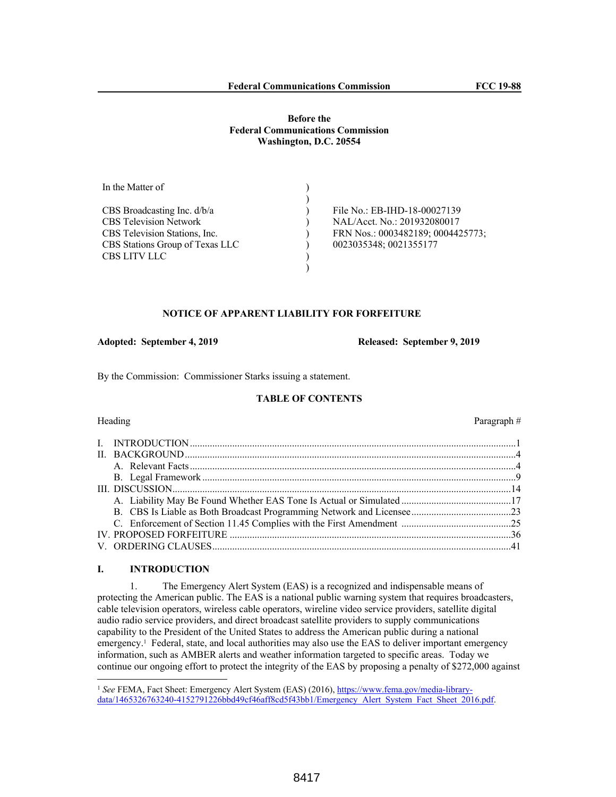## **Before the Federal Communications Commission Washington, D.C. 20554**

| In the Matter of                |                                   |
|---------------------------------|-----------------------------------|
|                                 |                                   |
| CBS Broadcasting Inc. $d/b/a$   | File No.: EB-IHD-18-00027139      |
| <b>CBS</b> Television Network   | NAL/Acct. No.: 201932080017       |
| CBS Television Stations, Inc.   | FRN Nos.: 0003482189; 0004425773; |
| CBS Stations Group of Texas LLC | 0023035348; 0021355177            |
| <b>CBS LITV LLC</b>             |                                   |
|                                 |                                   |

#### **NOTICE OF APPARENT LIABILITY FOR FORFEITURE**

**Adopted: September 4, 2019 Released: September 9, 2019**

By the Commission: Commissioner Starks issuing a statement.

# **TABLE OF CONTENTS**

# Heading Paragraph #

#### **I. INTRODUCTION**

1. The Emergency Alert System (EAS) is a recognized and indispensable means of protecting the American public. The EAS is a national public warning system that requires broadcasters, cable television operators, wireless cable operators, wireline video service providers, satellite digital audio radio service providers, and direct broadcast satellite providers to supply communications capability to the President of the United States to address the American public during a national emergency.<sup>1</sup> Federal, state, and local authorities may also use the EAS to deliver important emergency information, such as AMBER alerts and weather information targeted to specific areas. Today we continue our ongoing effort to protect the integrity of the EAS by proposing a penalty of \$272,000 against

<sup>1</sup> *See* FEMA, Fact Sheet: Emergency Alert System (EAS) (2016), https://www.fema.gov/media-librarydata/1465326763240-4152791226bbd49cf46aff8cd5f43bb1/Emergency\_Alert\_System\_Fact\_Sheet\_2016.pdf.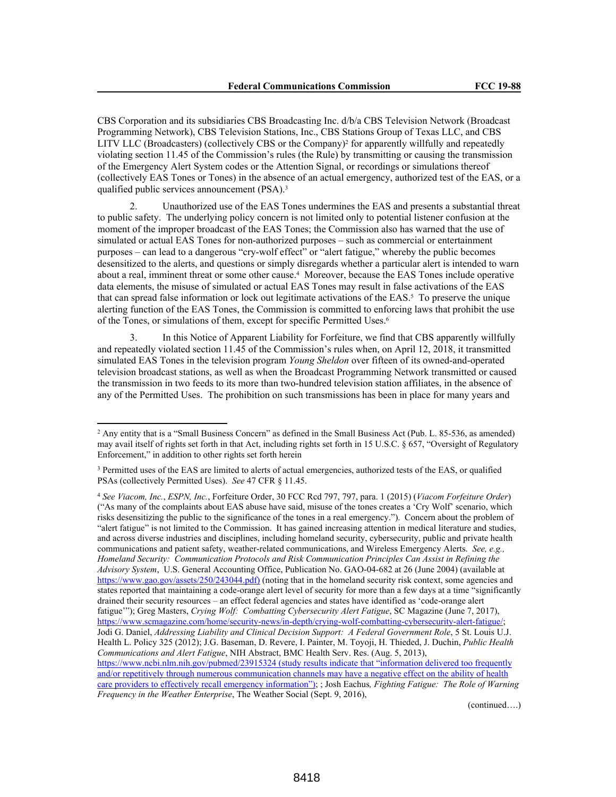CBS Corporation and its subsidiaries CBS Broadcasting Inc. d/b/a CBS Television Network (Broadcast Programming Network), CBS Television Stations, Inc., CBS Stations Group of Texas LLC, and CBS LITV LLC (Broadcasters) (collectively CBS or the Company)<sup>2</sup> for apparently willfully and repeatedly violating section 11.45 of the Commission's rules (the Rule) by transmitting or causing the transmission of the Emergency Alert System codes or the Attention Signal, or recordings or simulations thereof (collectively EAS Tones or Tones) in the absence of an actual emergency, authorized test of the EAS, or a qualified public services announcement (PSA).<sup>3</sup>

Unauthorized use of the EAS Tones undermines the EAS and presents a substantial threat to public safety. The underlying policy concern is not limited only to potential listener confusion at the moment of the improper broadcast of the EAS Tones; the Commission also has warned that the use of simulated or actual EAS Tones for non-authorized purposes – such as commercial or entertainment purposes – can lead to a dangerous "cry-wolf effect" or "alert fatigue," whereby the public becomes desensitized to the alerts, and questions or simply disregards whether a particular alert is intended to warn about a real, imminent threat or some other cause.<sup>4</sup> Moreover, because the EAS Tones include operative data elements, the misuse of simulated or actual EAS Tones may result in false activations of the EAS that can spread false information or lock out legitimate activations of the EAS.<sup>5</sup> To preserve the unique alerting function of the EAS Tones, the Commission is committed to enforcing laws that prohibit the use of the Tones, or simulations of them, except for specific Permitted Uses.<sup>6</sup>

In this Notice of Apparent Liability for Forfeiture, we find that CBS apparently willfully and repeatedly violated section 11.45 of the Commission's rules when, on April 12, 2018, it transmitted simulated EAS Tones in the television program *Young Sheldon* over fifteen of its owned-and-operated television broadcast stations, as well as when the Broadcast Programming Network transmitted or caused the transmission in two feeds to its more than two-hundred television station affiliates, in the absence of any of the Permitted Uses. The prohibition on such transmissions has been in place for many years and

<sup>4</sup> *See Viacom, Inc.*, *ESPN, Inc.*, Forfeiture Order, 30 FCC Rcd 797, 797, para. 1 (2015) (*Viacom Forfeiture Order*) ("As many of the complaints about EAS abuse have said, misuse of the tones creates a 'Cry Wolf' scenario, which risks desensitizing the public to the significance of the tones in a real emergency."). Concern about the problem of "alert fatigue" is not limited to the Commission. It has gained increasing attention in medical literature and studies, and across diverse industries and disciplines, including homeland security, cybersecurity, public and private health communications and patient safety, weather-related communications, and Wireless Emergency Alerts. *See, e.g., Homeland Security: Communication Protocols and Risk Communication Principles Can Assist in Refining the Advisory System*, U.S. General Accounting Office, Publication No. GAO-04-682 at 26 (June 2004) (available at https://www.gao.gov/assets/250/243044.pdf) (noting that in the homeland security risk context, some agencies and states reported that maintaining a code-orange alert level of security for more than a few days at a time "significantly drained their security resources – an effect federal agencies and states have identified as 'code-orange alert fatigue'"); Greg Masters, *Crying Wolf: Combatting Cybersecurity Alert Fatigue*, SC Magazine (June 7, 2017), https://www.scmagazine.com/home/security-news/in-depth/crying-wolf-combatting-cybersecurity-alert-fatigue/; Jodi G. Daniel, *Addressing Liability and Clinical Decision Support: A Federal Government Role*, 5 St. Louis U.J. Health L. Policy 325 (2012); J.G. Baseman, D. Revere, I. Painter, M. Toyoji, H. Thieded, J. Duchin, *Public Health Communications and Alert Fatigue*, NIH Abstract, BMC Health Serv. Res. (Aug. 5, 2013), https://www.ncbi.nlm.nih.gov/pubmed/23915324 (study results indicate that "information delivered too frequently and/or repetitively through numerous communication channels may have a negative effect on the ability of health care providers to effectively recall emergency information"); ; Josh Eachus*, Fighting Fatigue: The Role of Warning Frequency in the Weather Enterprise*, The Weather Social (Sept. 9, 2016),

(continued….)

<sup>2</sup> Any entity that is a "Small Business Concern" as defined in the Small Business Act (Pub. L. 85-536, as amended) may avail itself of rights set forth in that Act, including rights set forth in 15 U.S.C. § 657, "Oversight of Regulatory Enforcement," in addition to other rights set forth herein

<sup>&</sup>lt;sup>3</sup> Permitted uses of the EAS are limited to alerts of actual emergencies, authorized tests of the EAS, or qualified PSAs (collectively Permitted Uses). *See* 47 CFR § 11.45.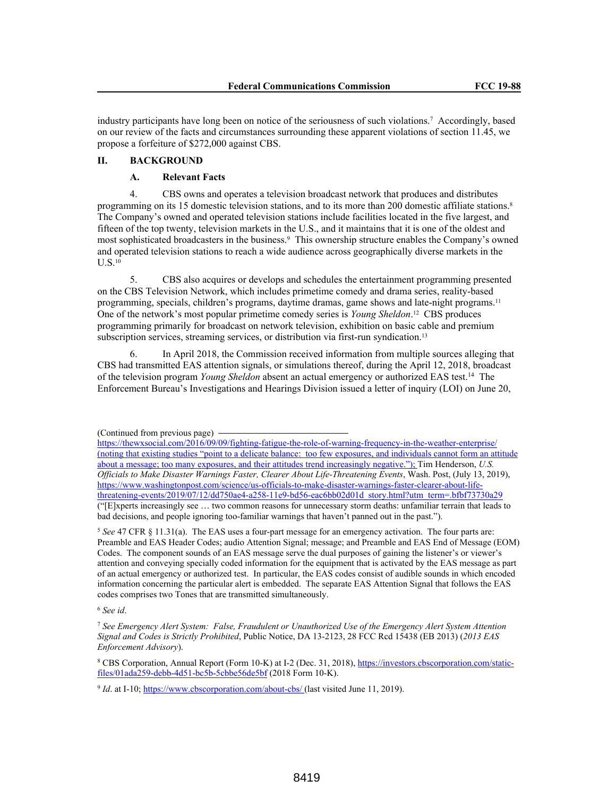industry participants have long been on notice of the seriousness of such violations.<sup>7</sup> Accordingly, based on our review of the facts and circumstances surrounding these apparent violations of section 11.45, we propose a forfeiture of \$272,000 against CBS.

# **II. BACKGROUND**

# **A. Relevant Facts**

4. CBS owns and operates a television broadcast network that produces and distributes programming on its 15 domestic television stations, and to its more than 200 domestic affiliate stations.<sup>8</sup> The Company's owned and operated television stations include facilities located in the five largest, and fifteen of the top twenty, television markets in the U.S., and it maintains that it is one of the oldest and most sophisticated broadcasters in the business.<sup>9</sup> This ownership structure enables the Company's owned and operated television stations to reach a wide audience across geographically diverse markets in the U.S.<sup>10</sup>

5. CBS also acquires or develops and schedules the entertainment programming presented on the CBS Television Network, which includes primetime comedy and drama series, reality-based programming, specials, children's programs, daytime dramas, game shows and late-night programs.<sup>11</sup> One of the network's most popular primetime comedy series is *Young Sheldon*. <sup>12</sup> CBS produces programming primarily for broadcast on network television, exhibition on basic cable and premium subscription services, streaming services, or distribution via first-run syndication.<sup>13</sup>

In April 2018, the Commission received information from multiple sources alleging that CBS had transmitted EAS attention signals, or simulations thereof, during the April 12, 2018, broadcast of the television program *Young Sheldon* absent an actual emergency or authorized EAS test.<sup>14</sup> The Enforcement Bureau's Investigations and Hearings Division issued a letter of inquiry (LOI) on June 20,

<sup>5</sup> *See* 47 CFR § 11.31(a). The EAS uses a four-part message for an emergency activation. The four parts are: Preamble and EAS Header Codes; audio Attention Signal; message; and Preamble and EAS End of Message (EOM) Codes. The component sounds of an EAS message serve the dual purposes of gaining the listener's or viewer's attention and conveying specially coded information for the equipment that is activated by the EAS message as part of an actual emergency or authorized test. In particular, the EAS codes consist of audible sounds in which encoded information concerning the particular alert is embedded. The separate EAS Attention Signal that follows the EAS codes comprises two Tones that are transmitted simultaneously.

<sup>6</sup> *See id*.

<sup>7</sup> *See Emergency Alert System: False, Fraudulent or Unauthorized Use of the Emergency Alert System Attention Signal and Codes is Strictly Prohibited*, Public Notice, DA 13-2123, 28 FCC Rcd 15438 (EB 2013) (*2013 EAS Enforcement Advisory*).

<sup>8</sup> CBS Corporation, Annual Report (Form 10-K) at I-2 (Dec. 31, 2018), https://investors.cbscorporation.com/staticfiles/01ada259-debb-4d51-bc5b-5cbbe56de5bf (2018 Form 10-K).

<sup>9</sup> *Id*. at I-10; https://www.cbscorporation.com/about-cbs/ (last visited June 11, 2019).

<sup>(</sup>Continued from previous page)

https://thewxsocial.com/2016/09/09/fighting-fatigue-the-role-of-warning-frequency-in-the-weather-enterprise/ (noting that existing studies "point to a delicate balance: too few exposures, and individuals cannot form an attitude about a message; too many exposures, and their attitudes trend increasingly negative."); Tim Henderson, *U.S. Officials to Make Disaster Warnings Faster, Clearer About Life-Threatening Events*, Wash. Post, (July 13, 2019), https://www.washingtonpost.com/science/us-officials-to-make-disaster-warnings-faster-clearer-about-lifethreatening-events/2019/07/12/dd750ae4-a258-11e9-bd56-eac6bb02d01d\_story.html?utm\_term=.bfbf73730a29 ("[E]xperts increasingly see … two common reasons for unnecessary storm deaths: unfamiliar terrain that leads to bad decisions, and people ignoring too-familiar warnings that haven't panned out in the past.").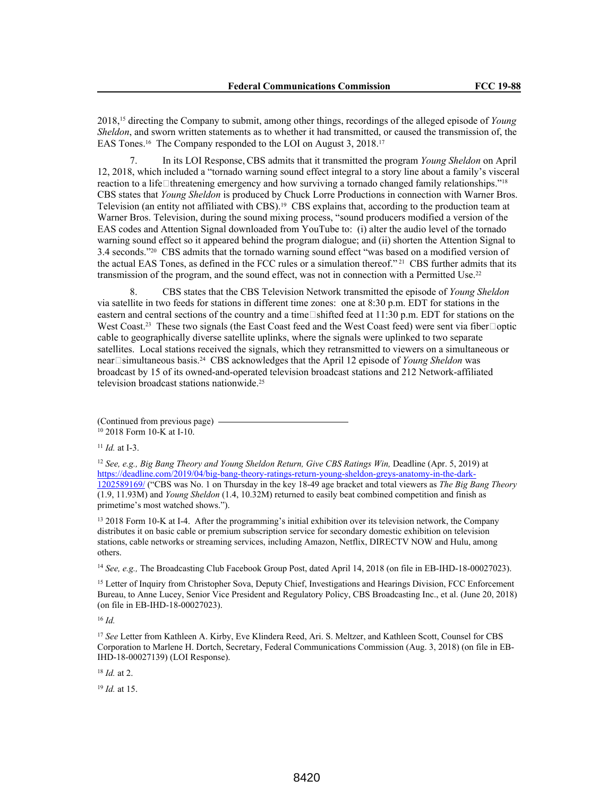2018,15 directing the Company to submit, among other things, recordings of the alleged episode of *Young Sheldon*, and sworn written statements as to whether it had transmitted, or caused the transmission of, the EAS Tones.<sup>16</sup> The Company responded to the LOI on August 3, 2018.<sup>17</sup>

7. In its LOI Response, CBS admits that it transmitted the program *Young Sheldon* on April 12, 2018, which included a "tornado warning sound effect integral to a story line about a family's visceral reaction to a life heatening emergency and how surviving a tornado changed family relationships."<sup>18</sup> CBS states that *Young Sheldon* is produced by Chuck Lorre Productions in connection with Warner Bros. Television (an entity not affiliated with CBS).19 CBS explains that, according to the production team at Warner Bros. Television, during the sound mixing process, "sound producers modified a version of the EAS codes and Attention Signal downloaded from YouTube to: (i) alter the audio level of the tornado warning sound effect so it appeared behind the program dialogue; and (ii) shorten the Attention Signal to 3.4 seconds."20 CBS admits that the tornado warning sound effect "was based on a modified version of the actual EAS Tones, as defined in the FCC rules or a simulation thereof." 21 CBS further admits that its transmission of the program, and the sound effect, was not in connection with a Permitted Use.<sup>22</sup>

8. CBS states that the CBS Television Network transmitted the episode of *Young Sheldon*  via satellite in two feeds for stations in different time zones: one at 8:30 p.m. EDT for stations in the eastern and central sections of the country and a time  $\Box$ shifted feed at 11:30 p.m. EDT for stations on the West Coast.<sup>23</sup> These two signals (the East Coast feed and the West Coast feed) were sent via fiber□optic cable to geographically diverse satellite uplinks, where the signals were uplinked to two separate satellites. Local stations received the signals, which they retransmitted to viewers on a simultaneous or near□simultaneous basis.<sup>24</sup> CBS acknowledges that the April 12 episode of *Young Sheldon* was broadcast by 15 of its owned-and-operated television broadcast stations and 212 Network-affiliated television broadcast stations nationwide.<sup>25</sup>

(Continued from previous page) <sup>10</sup> 2018 Form 10-K at I-10.

<sup>11</sup> *Id.* at I-3.

<sup>12</sup> *See, e.g., Big Bang Theory and Young Sheldon Return, Give CBS Ratings Win, Deadline (Apr. 5, 2019) at* https://deadline.com/2019/04/big-bang-theory-ratings-return-young-sheldon-greys-anatomy-in-the-dark-1202589169/ ("CBS was No. 1 on Thursday in the key 18-49 age bracket and total viewers as *The Big Bang Theory* (1.9, 11.93M) and *Young Sheldon* (1.4, 10.32M) returned to easily beat combined competition and finish as primetime's most watched shows.").

<sup>13</sup> 2018 Form 10-K at I-4. After the programming's initial exhibition over its television network, the Company distributes it on basic cable or premium subscription service for secondary domestic exhibition on television stations, cable networks or streaming services, including Amazon, Netflix, DIRECTV NOW and Hulu, among others.

<sup>14</sup> *See, e.g.*, The Broadcasting Club Facebook Group Post, dated April 14, 2018 (on file in EB-IHD-18-00027023).

<sup>15</sup> Letter of Inquiry from Christopher Sova, Deputy Chief, Investigations and Hearings Division, FCC Enforcement Bureau, to Anne Lucey, Senior Vice President and Regulatory Policy, CBS Broadcasting Inc., et al. (June 20, 2018) (on file in EB-IHD-18-00027023).

<sup>16</sup> *Id.*

<sup>17</sup> *See* Letter from Kathleen A. Kirby, Eve Klindera Reed, Ari. S. Meltzer, and Kathleen Scott, Counsel for CBS Corporation to Marlene H. Dortch, Secretary, Federal Communications Commission (Aug. 3, 2018) (on file in EB-IHD-18-00027139) (LOI Response).

<sup>18</sup> *Id.* at 2.

<sup>19</sup> *Id.* at 15.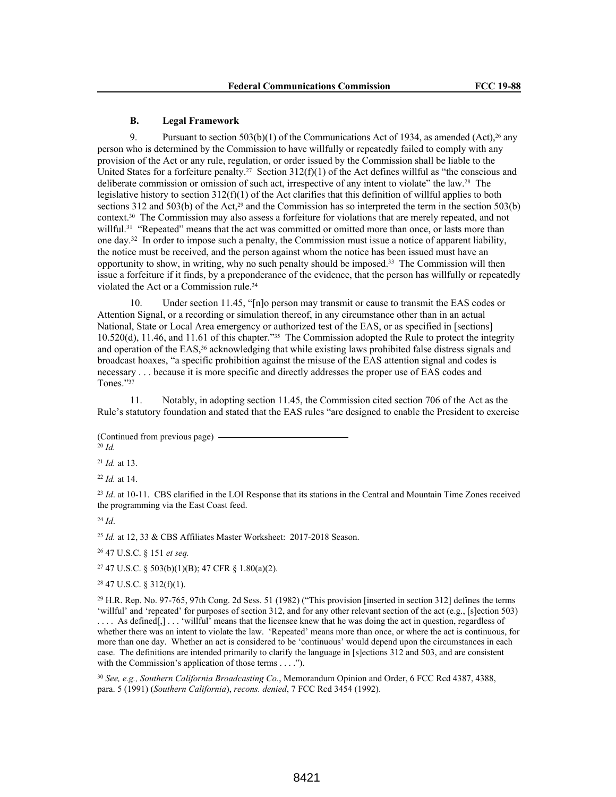## **B. Legal Framework**

9. Pursuant to section  $503(b)(1)$  of the Communications Act of 1934, as amended  $(Act),^{26}$  any person who is determined by the Commission to have willfully or repeatedly failed to comply with any provision of the Act or any rule, regulation, or order issued by the Commission shall be liable to the United States for a forfeiture penalty.<sup>27</sup> Section  $312(f)(1)$  of the Act defines willful as "the conscious and deliberate commission or omission of such act, irrespective of any intent to violate" the law.28 The legislative history to section 312(f)(1) of the Act clarifies that this definition of willful applies to both sections 312 and 503(b) of the Act,<sup>29</sup> and the Commission has so interpreted the term in the section 503(b) context.30 The Commission may also assess a forfeiture for violations that are merely repeated, and not willful.<sup>31</sup> "Repeated" means that the act was committed or omitted more than once, or lasts more than one day.<sup>32</sup> In order to impose such a penalty, the Commission must issue a notice of apparent liability, the notice must be received, and the person against whom the notice has been issued must have an opportunity to show, in writing, why no such penalty should be imposed.33 The Commission will then issue a forfeiture if it finds, by a preponderance of the evidence, that the person has willfully or repeatedly violated the Act or a Commission rule.<sup>34</sup>

10. Under section 11.45, "[n]o person may transmit or cause to transmit the EAS codes or Attention Signal, or a recording or simulation thereof, in any circumstance other than in an actual National, State or Local Area emergency or authorized test of the EAS, or as specified in [sections] 10.520(d), 11.46, and 11.61 of this chapter."35 The Commission adopted the Rule to protect the integrity and operation of the EAS,<sup>36</sup> acknowledging that while existing laws prohibited false distress signals and broadcast hoaxes, "a specific prohibition against the misuse of the EAS attention signal and codes is necessary . . . because it is more specific and directly addresses the proper use of EAS codes and Tones."<sup>37</sup>

11. Notably, in adopting section 11.45, the Commission cited section 706 of the Act as the Rule's statutory foundation and stated that the EAS rules "are designed to enable the President to exercise

(Continued from previous page) <sup>20</sup> *Id.*

<sup>21</sup> *Id.* at 13.

<sup>22</sup> *Id.* at 14.

<sup>23</sup> *Id.* at 10-11. CBS clarified in the LOI Response that its stations in the Central and Mountain Time Zones received the programming via the East Coast feed.

<sup>24</sup> *Id*.

<sup>25</sup> *Id.* at 12, 33 & CBS Affiliates Master Worksheet: 2017-2018 Season.

<sup>26</sup> 47 U.S.C. § 151 *et seq.*

<sup>27</sup> 47 U.S.C. § 503(b)(1)(B); 47 CFR § 1.80(a)(2).

 $28$  47 U.S.C. § 312(f)(1).

<sup>29</sup> H.R. Rep. No. 97-765, 97th Cong. 2d Sess. 51 (1982) ("This provision [inserted in section 312] defines the terms 'willful' and 'repeated' for purposes of section 312, and for any other relevant section of the act (e.g., [s]ection 503) .... As defined[,]... 'willful' means that the licensee knew that he was doing the act in question, regardless of whether there was an intent to violate the law. 'Repeated' means more than once, or where the act is continuous, for more than one day. Whether an act is considered to be 'continuous' would depend upon the circumstances in each case. The definitions are intended primarily to clarify the language in [s]ections 312 and 503, and are consistent with the Commission's application of those terms . . . .").

<sup>30</sup> *See, e.g., Southern California Broadcasting Co.*, Memorandum Opinion and Order, 6 FCC Rcd 4387, 4388, para. 5 (1991) (*Southern California*), *recons. denied*, 7 FCC Rcd 3454 (1992).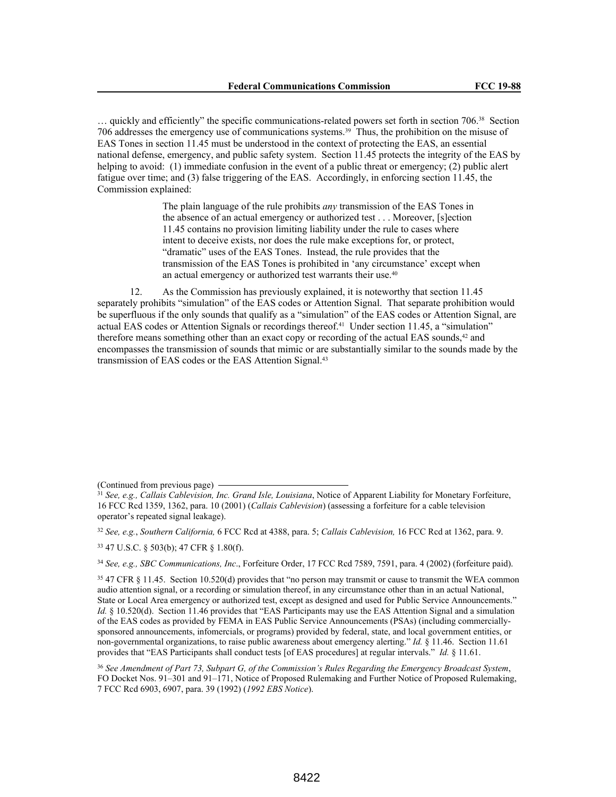… quickly and efficiently" the specific communications-related powers set forth in section 706.38 Section 706 addresses the emergency use of communications systems.39 Thus, the prohibition on the misuse of EAS Tones in section 11.45 must be understood in the context of protecting the EAS, an essential national defense, emergency, and public safety system. Section 11.45 protects the integrity of the EAS by helping to avoid: (1) immediate confusion in the event of a public threat or emergency; (2) public alert fatigue over time; and (3) false triggering of the EAS. Accordingly, in enforcing section 11.45, the Commission explained:

> The plain language of the rule prohibits *any* transmission of the EAS Tones in the absence of an actual emergency or authorized test . . . Moreover, [s]ection 11.45 contains no provision limiting liability under the rule to cases where intent to deceive exists, nor does the rule make exceptions for, or protect, "dramatic" uses of the EAS Tones. Instead, the rule provides that the transmission of the EAS Tones is prohibited in 'any circumstance' except when an actual emergency or authorized test warrants their use.<sup>40</sup>

12. As the Commission has previously explained, it is noteworthy that section 11.45 separately prohibits "simulation" of the EAS codes or Attention Signal. That separate prohibition would be superfluous if the only sounds that qualify as a "simulation" of the EAS codes or Attention Signal, are actual EAS codes or Attention Signals or recordings thereof.<sup>41</sup> Under section 11.45, a "simulation" therefore means something other than an exact copy or recording of the actual EAS sounds,42 and encompasses the transmission of sounds that mimic or are substantially similar to the sounds made by the transmission of EAS codes or the EAS Attention Signal.<sup>43</sup>

<sup>32</sup> *See, e.g.*, *Southern California,* 6 FCC Rcd at 4388, para. 5; *Callais Cablevision,* 16 FCC Rcd at 1362, para. 9.

<sup>34</sup> *See, e.g., SBC Communications, Inc*., Forfeiture Order, 17 FCC Rcd 7589, 7591, para. 4 (2002) (forfeiture paid).

<sup>35</sup> 47 CFR § 11.45. Section 10.520(d) provides that "no person may transmit or cause to transmit the WEA common audio attention signal, or a recording or simulation thereof, in any circumstance other than in an actual National, State or Local Area emergency or authorized test, except as designed and used for Public Service Announcements." *Id.* § 10.520(d). Section 11.46 provides that "EAS Participants may use the EAS Attention Signal and a simulation of the EAS codes as provided by FEMA in EAS Public Service Announcements (PSAs) (including commerciallysponsored announcements, infomercials, or programs) provided by federal, state, and local government entities, or non-governmental organizations, to raise public awareness about emergency alerting." *Id.* § 11.46. Section 11.61 provides that "EAS Participants shall conduct tests [of EAS procedures] at regular intervals." *Id.* § 11.61.

<sup>36</sup> *See Amendment of Part 73, Subpart G, of the Commission's Rules Regarding the Emergency Broadcast System*, FO Docket Nos. 91–301 and 91–171, Notice of Proposed Rulemaking and Further Notice of Proposed Rulemaking, 7 FCC Rcd 6903, 6907, para. 39 (1992) (*1992 EBS Notice*).

<sup>(</sup>Continued from previous page)

<sup>31</sup> *See, e.g., Callais Cablevision, Inc. Grand Isle, Louisiana*, Notice of Apparent Liability for Monetary Forfeiture, 16 FCC Rcd 1359, 1362, para. 10 (2001) (*Callais Cablevision*) (assessing a forfeiture for a cable television operator's repeated signal leakage).

<sup>33</sup> 47 U.S.C. § 503(b); 47 CFR § 1.80(f).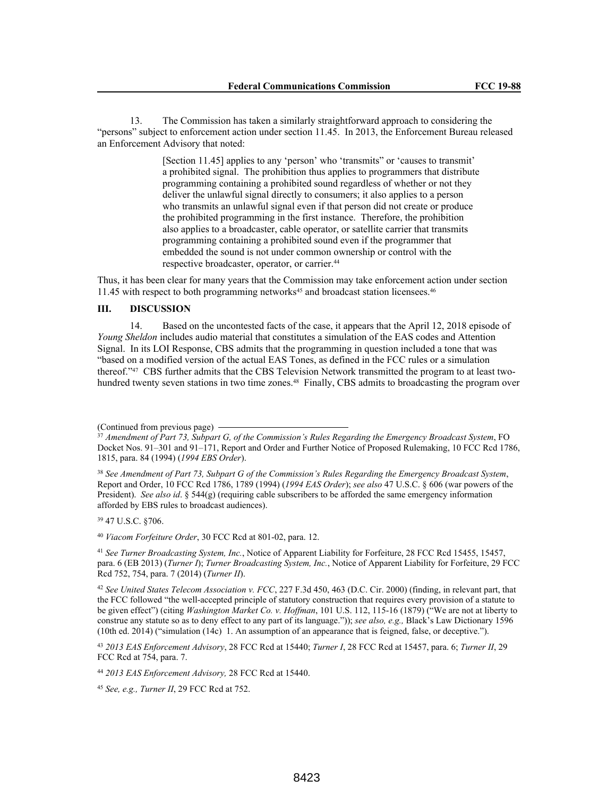13. The Commission has taken a similarly straightforward approach to considering the "persons" subject to enforcement action under section 11.45. In 2013, the Enforcement Bureau released an Enforcement Advisory that noted:

> [Section 11.45] applies to any 'person' who 'transmits' or 'causes to transmit' a prohibited signal. The prohibition thus applies to programmers that distribute programming containing a prohibited sound regardless of whether or not they deliver the unlawful signal directly to consumers; it also applies to a person who transmits an unlawful signal even if that person did not create or produce the prohibited programming in the first instance. Therefore, the prohibition also applies to a broadcaster, cable operator, or satellite carrier that transmits programming containing a prohibited sound even if the programmer that embedded the sound is not under common ownership or control with the respective broadcaster, operator, or carrier.<sup>44</sup>

Thus, it has been clear for many years that the Commission may take enforcement action under section 11.45 with respect to both programming networks45 and broadcast station licensees.<sup>46</sup>

# **III. DISCUSSION**

14. Based on the uncontested facts of the case, it appears that the April 12, 2018 episode of *Young Sheldon* includes audio material that constitutes a simulation of the EAS codes and Attention Signal. In its LOI Response, CBS admits that the programming in question included a tone that was "based on a modified version of the actual EAS Tones, as defined in the FCC rules or a simulation thereof."47 CBS further admits that the CBS Television Network transmitted the program to at least twohundred twenty seven stations in two time zones.<sup>48</sup> Finally, CBS admits to broadcasting the program over

<sup>39</sup> 47 U.S.C. §706.

<sup>40</sup> *Viacom Forfeiture Order*, 30 FCC Rcd at 801-02, para. 12.

<sup>41</sup> *See Turner Broadcasting System, Inc.*, Notice of Apparent Liability for Forfeiture, 28 FCC Rcd 15455, 15457, para. 6 (EB 2013) (*Turner I*); *Turner Broadcasting System, Inc.*, Notice of Apparent Liability for Forfeiture, 29 FCC Rcd 752, 754, para. 7 (2014) (*Turner II*).

<sup>42</sup> *See United States Telecom Association v. FCC*, 227 F.3d 450, 463 (D.C. Cir. 2000) (finding, in relevant part, that the FCC followed "the well-accepted principle of statutory construction that requires every provision of a statute to be given effect") (citing *Washington Market Co. v. Hoffman*, 101 U.S. 112, 115-16 (1879) ("We are not at liberty to construe any statute so as to deny effect to any part of its language.")); *see also, e.g.,* Black's Law Dictionary 1596 (10th ed. 2014) ("simulation (14c) 1. An assumption of an appearance that is feigned, false, or deceptive.").

<sup>43</sup> *2013 EAS Enforcement Advisory*, 28 FCC Rcd at 15440; *Turner I*, 28 FCC Rcd at 15457, para. 6; *Turner II*, 29 FCC Rcd at 754, para. 7.

<sup>44</sup> *2013 EAS Enforcement Advisory,* 28 FCC Rcd at 15440.

<sup>45</sup> *See, e.g., Turner II*, 29 FCC Rcd at 752.

<sup>(</sup>Continued from previous page)

<sup>37</sup> *Amendment of Part 73, Subpart G, of the Commission's Rules Regarding the Emergency Broadcast System*, FO Docket Nos. 91–301 and 91–171, Report and Order and Further Notice of Proposed Rulemaking, 10 FCC Rcd 1786, 1815, para. 84 (1994) (*1994 EBS Order*).

<sup>38</sup> *See Amendment of Part 73, Subpart G of the Commission's Rules Regarding the Emergency Broadcast System*, Report and Order, 10 FCC Rcd 1786, 1789 (1994) (*1994 EAS Order*); *see also* 47 U.S.C. § 606 (war powers of the President). *See also id*. § 544(g) (requiring cable subscribers to be afforded the same emergency information afforded by EBS rules to broadcast audiences).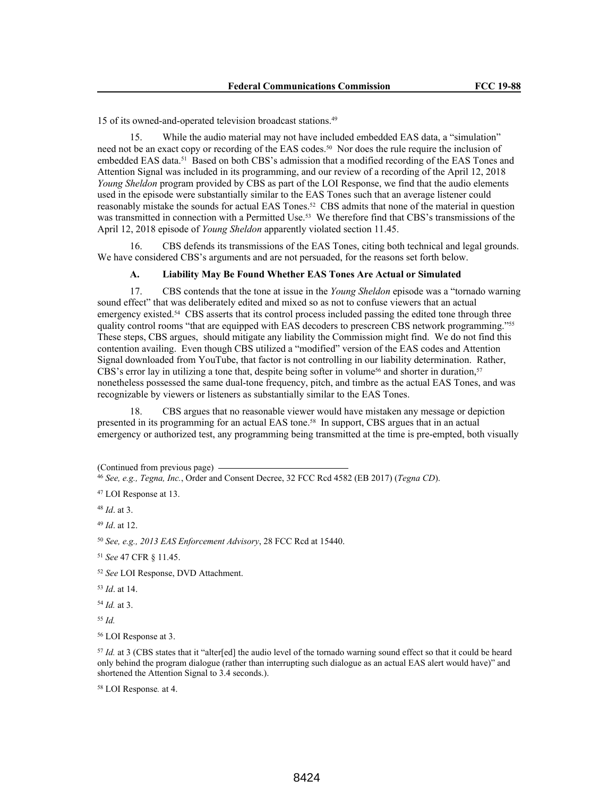15 of its owned-and-operated television broadcast stations.<sup>49</sup>

15. While the audio material may not have included embedded EAS data, a "simulation" need not be an exact copy or recording of the EAS codes.50 Nor does the rule require the inclusion of embedded EAS data.<sup>51</sup> Based on both CBS's admission that a modified recording of the EAS Tones and Attention Signal was included in its programming, and our review of a recording of the April 12, 2018 *Young Sheldon* program provided by CBS as part of the LOI Response, we find that the audio elements used in the episode were substantially similar to the EAS Tones such that an average listener could reasonably mistake the sounds for actual EAS Tones.52 CBS admits that none of the material in question was transmitted in connection with a Permitted Use.<sup>53</sup> We therefore find that CBS's transmissions of the April 12, 2018 episode of *Young Sheldon* apparently violated section 11.45.

16. CBS defends its transmissions of the EAS Tones, citing both technical and legal grounds. We have considered CBS's arguments and are not persuaded, for the reasons set forth below.

#### **A. Liability May Be Found Whether EAS Tones Are Actual or Simulated**

17. CBS contends that the tone at issue in the *Young Sheldon* episode was a "tornado warning sound effect" that was deliberately edited and mixed so as not to confuse viewers that an actual emergency existed.<sup>54</sup> CBS asserts that its control process included passing the edited tone through three quality control rooms "that are equipped with EAS decoders to prescreen CBS network programming."<sup>55</sup> These steps, CBS argues, should mitigate any liability the Commission might find. We do not find this contention availing. Even though CBS utilized a "modified" version of the EAS codes and Attention Signal downloaded from YouTube, that factor is not controlling in our liability determination. Rather, CBS's error lay in utilizing a tone that, despite being softer in volume<sup>56</sup> and shorter in duration,<sup>57</sup> nonetheless possessed the same dual-tone frequency, pitch, and timbre as the actual EAS Tones, and was recognizable by viewers or listeners as substantially similar to the EAS Tones.

18. CBS argues that no reasonable viewer would have mistaken any message or depiction presented in its programming for an actual EAS tone.58 In support, CBS argues that in an actual emergency or authorized test, any programming being transmitted at the time is pre-empted, both visually

(Continued from previous page)

<sup>48</sup> *Id*. at 3.

<sup>49</sup> *Id*. at 12.

<sup>50</sup> *See, e.g., 2013 EAS Enforcement Advisory*, 28 FCC Rcd at 15440.

<sup>51</sup> *See* 47 CFR § 11.45.

<sup>52</sup> *See* LOI Response, DVD Attachment.

<sup>53</sup> *Id*. at 14.

<sup>54</sup> *Id.* at 3.

<sup>55</sup> *Id.*

<sup>56</sup> LOI Response at 3.

<sup>57</sup> *Id.* at 3 (CBS states that it "alter[ed] the audio level of the tornado warning sound effect so that it could be heard only behind the program dialogue (rather than interrupting such dialogue as an actual EAS alert would have)" and shortened the Attention Signal to 3.4 seconds.).

<sup>58</sup> LOI Response*.* at 4.

<sup>46</sup> *See, e.g., Tegna, Inc.*, Order and Consent Decree, 32 FCC Rcd 4582 (EB 2017) (*Tegna CD*).

<sup>47</sup> LOI Response at 13.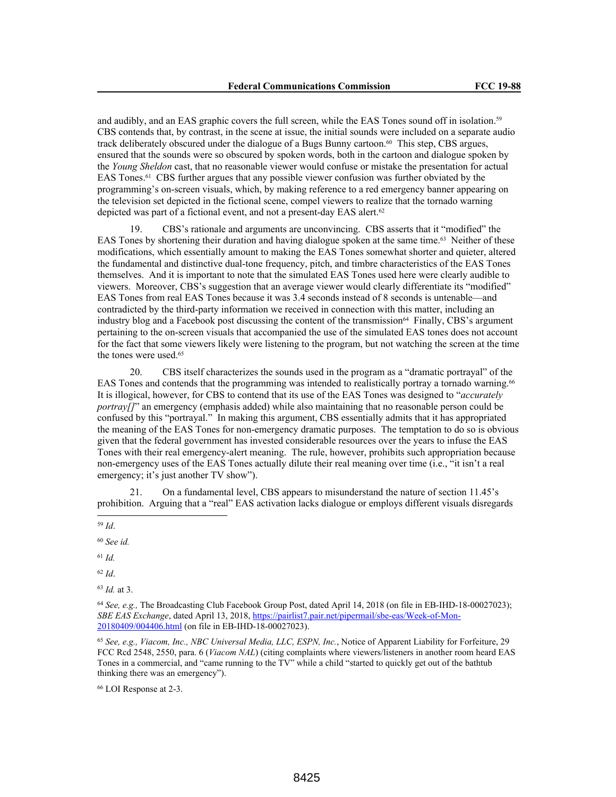and audibly, and an EAS graphic covers the full screen, while the EAS Tones sound off in isolation.<sup>59</sup> CBS contends that, by contrast, in the scene at issue, the initial sounds were included on a separate audio track deliberately obscured under the dialogue of a Bugs Bunny cartoon.60 This step, CBS argues, ensured that the sounds were so obscured by spoken words, both in the cartoon and dialogue spoken by the *Young Sheldon* cast, that no reasonable viewer would confuse or mistake the presentation for actual EAS Tones.61 CBS further argues that any possible viewer confusion was further obviated by the programming's on-screen visuals, which, by making reference to a red emergency banner appearing on the television set depicted in the fictional scene, compel viewers to realize that the tornado warning depicted was part of a fictional event, and not a present-day EAS alert.<sup>62</sup>

19. CBS's rationale and arguments are unconvincing. CBS asserts that it "modified" the EAS Tones by shortening their duration and having dialogue spoken at the same time.63 Neither of these modifications, which essentially amount to making the EAS Tones somewhat shorter and quieter, altered the fundamental and distinctive dual-tone frequency, pitch, and timbre characteristics of the EAS Tones themselves. And it is important to note that the simulated EAS Tones used here were clearly audible to viewers. Moreover, CBS's suggestion that an average viewer would clearly differentiate its "modified" EAS Tones from real EAS Tones because it was 3.4 seconds instead of 8 seconds is untenable—and contradicted by the third-party information we received in connection with this matter, including an industry blog and a Facebook post discussing the content of the transmission<sup>64</sup> Finally, CBS's argument pertaining to the on-screen visuals that accompanied the use of the simulated EAS tones does not account for the fact that some viewers likely were listening to the program, but not watching the screen at the time the tones were used.<sup>65</sup>

20. CBS itself characterizes the sounds used in the program as a "dramatic portrayal" of the EAS Tones and contends that the programming was intended to realistically portray a tornado warning.<sup>66</sup> It is illogical, however, for CBS to contend that its use of the EAS Tones was designed to "*accurately portray*[]" an emergency (emphasis added) while also maintaining that no reasonable person could be confused by this "portrayal." In making this argument, CBS essentially admits that it has appropriated the meaning of the EAS Tones for non-emergency dramatic purposes. The temptation to do so is obvious given that the federal government has invested considerable resources over the years to infuse the EAS Tones with their real emergency-alert meaning. The rule, however, prohibits such appropriation because non-emergency uses of the EAS Tones actually dilute their real meaning over time (i.e., "it isn't a real emergency; it's just another TV show").

21. On a fundamental level, CBS appears to misunderstand the nature of section 11.45's prohibition. Arguing that a "real" EAS activation lacks dialogue or employs different visuals disregards

<sup>62</sup> *Id*.

<sup>64</sup> *See, e.g.,* The Broadcasting Club Facebook Group Post, dated April 14, 2018 (on file in EB-IHD-18-00027023); *SBE EAS Exchange*, dated April 13, 2018, https://pairlist7.pair.net/pipermail/sbe-eas/Week-of-Mon-20180409/004406.html (on file in EB-IHD-18-00027023).

<sup>65</sup> *See, e.g., Viacom, Inc., NBC Universal Media, LLC, ESPN, Inc.*, Notice of Apparent Liability for Forfeiture, 29 FCC Rcd 2548, 2550, para. 6 (*Viacom NAL*) (citing complaints where viewers/listeners in another room heard EAS Tones in a commercial, and "came running to the TV" while a child "started to quickly get out of the bathtub thinking there was an emergency").

<sup>66</sup> LOI Response at 2-3.

<sup>59</sup> *Id*.

<sup>60</sup> *See id.*

<sup>61</sup> *Id.*

<sup>63</sup> *Id.* at 3.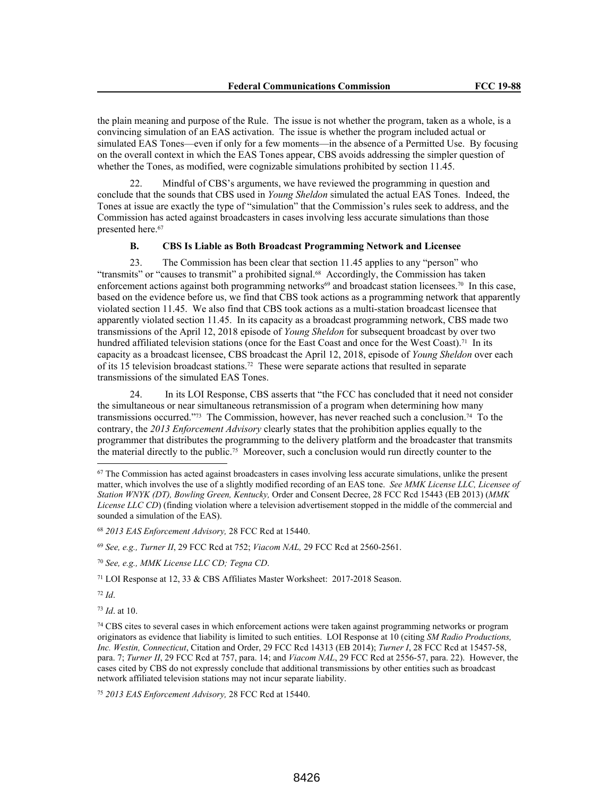the plain meaning and purpose of the Rule. The issue is not whether the program, taken as a whole, is a convincing simulation of an EAS activation. The issue is whether the program included actual or simulated EAS Tones—even if only for a few moments—in the absence of a Permitted Use. By focusing on the overall context in which the EAS Tones appear, CBS avoids addressing the simpler question of whether the Tones, as modified, were cognizable simulations prohibited by section 11.45.

22. Mindful of CBS's arguments, we have reviewed the programming in question and conclude that the sounds that CBS used in *Young Sheldon* simulated the actual EAS Tones. Indeed, the Tones at issue are exactly the type of "simulation" that the Commission's rules seek to address, and the Commission has acted against broadcasters in cases involving less accurate simulations than those presented here.<sup>67</sup>

#### **B. CBS Is Liable as Both Broadcast Programming Network and Licensee**

23. The Commission has been clear that section 11.45 applies to any "person" who "transmits" or "causes to transmit" a prohibited signal.<sup>68</sup> Accordingly, the Commission has taken enforcement actions against both programming networks $69$  and broadcast station licensees.<sup>70</sup> In this case, based on the evidence before us, we find that CBS took actions as a programming network that apparently violated section 11.45. We also find that CBS took actions as a multi-station broadcast licensee that apparently violated section 11.45. In its capacity as a broadcast programming network, CBS made two transmissions of the April 12, 2018 episode of *Young Sheldon* for subsequent broadcast by over two hundred affiliated television stations (once for the East Coast and once for the West Coast).<sup>71</sup> In its capacity as a broadcast licensee, CBS broadcast the April 12, 2018, episode of *Young Sheldon* over each of its 15 television broadcast stations.72 These were separate actions that resulted in separate transmissions of the simulated EAS Tones.

24. In its LOI Response, CBS asserts that "the FCC has concluded that it need not consider the simultaneous or near simultaneous retransmission of a program when determining how many transmissions occurred."73 The Commission, however, has never reached such a conclusion.74 To the contrary, the *2013 Enforcement Advisory* clearly states that the prohibition applies equally to the programmer that distributes the programming to the delivery platform and the broadcaster that transmits the material directly to the public.75 Moreover, such a conclusion would run directly counter to the

<sup>69</sup> *See, e.g., Turner II*, 29 FCC Rcd at 752; *Viacom NAL,* 29 FCC Rcd at 2560-2561.

<sup>70</sup> *See, e.g., MMK License LLC CD; Tegna CD*.

<sup>71</sup> LOI Response at 12, 33 & CBS Affiliates Master Worksheet: 2017-2018 Season.

<sup>72</sup> *Id*.

<sup>73</sup> *Id*. at 10.

<sup>75</sup> *2013 EAS Enforcement Advisory,* 28 FCC Rcd at 15440.

<sup>67</sup> The Commission has acted against broadcasters in cases involving less accurate simulations, unlike the present matter, which involves the use of a slightly modified recording of an EAS tone. *See MMK License LLC, Licensee of Station WNYK (DT), Bowling Green, Kentucky,* Order and Consent Decree, 28 FCC Rcd 15443 (EB 2013) (*MMK License LLC CD*) (finding violation where a television advertisement stopped in the middle of the commercial and sounded a simulation of the EAS).

<sup>68</sup> *2013 EAS Enforcement Advisory,* 28 FCC Rcd at 15440.

<sup>74</sup> CBS cites to several cases in which enforcement actions were taken against programming networks or program originators as evidence that liability is limited to such entities. LOI Response at 10 (citing *SM Radio Productions, Inc. Westin, Connecticut*, Citation and Order, 29 FCC Rcd 14313 (EB 2014); *Turner I*, 28 FCC Rcd at 15457-58, para. 7; *Turner II*, 29 FCC Rcd at 757, para. 14; and *Viacom NAL*, 29 FCC Rcd at 2556-57, para. 22). However, the cases cited by CBS do not expressly conclude that additional transmissions by other entities such as broadcast network affiliated television stations may not incur separate liability.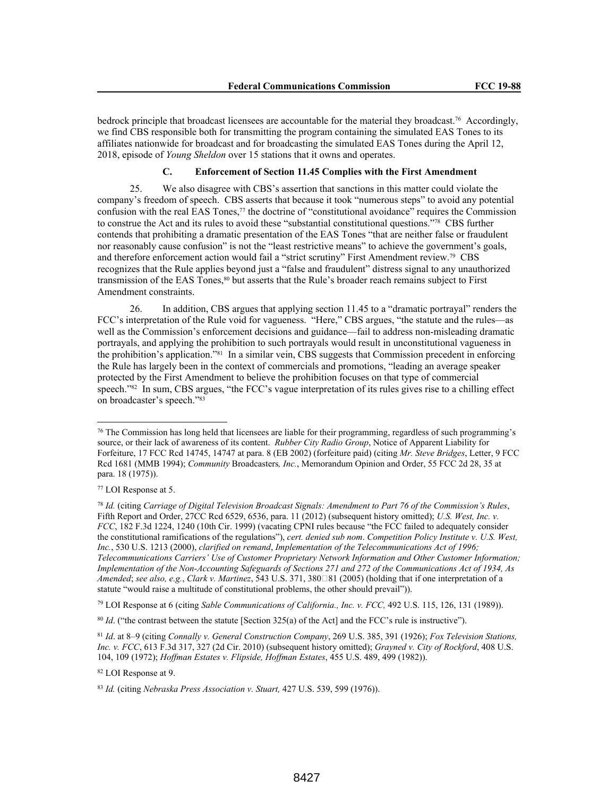bedrock principle that broadcast licensees are accountable for the material they broadcast.76 Accordingly, we find CBS responsible both for transmitting the program containing the simulated EAS Tones to its affiliates nationwide for broadcast and for broadcasting the simulated EAS Tones during the April 12, 2018, episode of *Young Sheldon* over 15 stations that it owns and operates.

# **C. Enforcement of Section 11.45 Complies with the First Amendment**

25. We also disagree with CBS's assertion that sanctions in this matter could violate the company's freedom of speech. CBS asserts that because it took "numerous steps" to avoid any potential confusion with the real EAS Tones,<sup>77</sup> the doctrine of "constitutional avoidance" requires the Commission to construe the Act and its rules to avoid these "substantial constitutional questions."78 CBS further contends that prohibiting a dramatic presentation of the EAS Tones "that are neither false or fraudulent nor reasonably cause confusion" is not the "least restrictive means" to achieve the government's goals, and therefore enforcement action would fail a "strict scrutiny" First Amendment review.79 CBS recognizes that the Rule applies beyond just a "false and fraudulent" distress signal to any unauthorized transmission of the EAS Tones,<sup>80</sup> but asserts that the Rule's broader reach remains subject to First Amendment constraints.

26. In addition, CBS argues that applying section 11.45 to a "dramatic portrayal" renders the FCC's interpretation of the Rule void for vagueness. "Here," CBS argues, "the statute and the rules—as well as the Commission's enforcement decisions and guidance—fail to address non-misleading dramatic portrayals, and applying the prohibition to such portrayals would result in unconstitutional vagueness in the prohibition's application."81 In a similar vein, CBS suggests that Commission precedent in enforcing the Rule has largely been in the context of commercials and promotions, "leading an average speaker protected by the First Amendment to believe the prohibition focuses on that type of commercial speech."82 In sum, CBS argues, "the FCC's vague interpretation of its rules gives rise to a chilling effect on broadcaster's speech."<sup>83</sup>

<sup>79</sup> LOI Response at 6 (citing *Sable Communications of California., Inc. v. FCC,* 492 U.S. 115, 126, 131 (1989)).

<sup>82</sup> LOI Response at 9.

<sup>76</sup> The Commission has long held that licensees are liable for their programming, regardless of such programming's source, or their lack of awareness of its content. *Rubber City Radio Group*, Notice of Apparent Liability for Forfeiture, 17 FCC Rcd 14745, 14747 at para. 8 (EB 2002) (forfeiture paid) (citing *Mr. Steve Bridges*, Letter, 9 FCC Rcd 1681 (MMB 1994); *Community* Broadcasters*, Inc.*, Memorandum Opinion and Order, 55 FCC 2d 28, 35 at para. 18 (1975)).

<sup>77</sup> LOI Response at 5.

<sup>78</sup> *Id.* (citing *Carriage of Digital Television Broadcast Signals: Amendment to Part 76 of the Commission's Rules*, Fifth Report and Order, 27CC Rcd 6529, 6536, para. 11 (2012) (subsequent history omitted); *U.S. West, Inc. v. FCC*, 182 F.3d 1224, 1240 (10th Cir. 1999) (vacating CPNI rules because "the FCC failed to adequately consider the constitutional ramifications of the regulations"), *cert. denied sub nom*. *Competition Policy Institute v. U.S. West, Inc.*, 530 U.S. 1213 (2000), *clarified on remand*, *Implementation of the Telecommunications Act of 1996; Telecommunications Carriers' Use of Customer Proprietary Network Information and Other Customer Information; Implementation of the Non-Accounting Safeguards of Sections 271 and 272 of the Communications Act of 1934, As Amended*; *see also, e.g., Clark v. Martinez*, 543 U.S. 371, 380□81 (2005) (holding that if one interpretation of a statute "would raise a multitude of constitutional problems, the other should prevail")).

<sup>&</sup>lt;sup>80</sup> *Id.* ("the contrast between the statute [Section 325(a) of the Act] and the FCC's rule is instructive").

<sup>81</sup> *Id*. at 8–9 (citing *Connally v. General Construction Company*, 269 U.S. 385, 391 (1926); *Fox Television Stations, Inc. v. FCC*, 613 F.3d 317, 327 (2d Cir. 2010) (subsequent history omitted); *Grayned v. City of Rockford*, 408 U.S. 104, 109 (1972); *Hoffman Estates v. Flipside, Hoffman Estates*, 455 U.S. 489, 499 (1982)).

<sup>83</sup> *Id.* (citing *Nebraska Press Association v. Stuart,* 427 U.S. 539, 599 (1976)).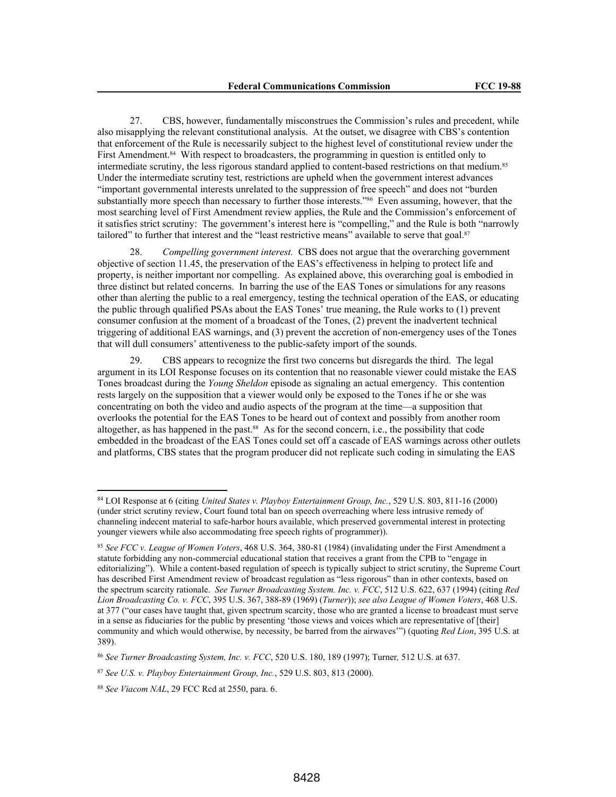27. CBS, however, fundamentally misconstrues the Commission's rules and precedent, while also misapplying the relevant constitutional analysis. At the outset, we disagree with CBS's contention that enforcement of the Rule is necessarily subject to the highest level of constitutional review under the First Amendment.<sup>84</sup> With respect to broadcasters, the programming in question is entitled only to intermediate scrutiny, the less rigorous standard applied to content-based restrictions on that medium.<sup>85</sup> Under the intermediate scrutiny test, restrictions are upheld when the government interest advances "important governmental interests unrelated to the suppression of free speech" and does not "burden substantially more speech than necessary to further those interests."<sup>86</sup> Even assuming, however, that the most searching level of First Amendment review applies, the Rule and the Commission's enforcement of it satisfies strict scrutiny: The government's interest here is "compelling," and the Rule is both "narrowly tailored" to further that interest and the "least restrictive means" available to serve that goal.<sup>87</sup>

28. *Compelling government interest.* CBS does not argue that the overarching government objective of section 11.45, the preservation of the EAS's effectiveness in helping to protect life and property, is neither important nor compelling. As explained above, this overarching goal is embodied in three distinct but related concerns. In barring the use of the EAS Tones or simulations for any reasons other than alerting the public to a real emergency, testing the technical operation of the EAS, or educating the public through qualified PSAs about the EAS Tones' true meaning, the Rule works to (1) prevent consumer confusion at the moment of a broadcast of the Tones, (2) prevent the inadvertent technical triggering of additional EAS warnings, and (3) prevent the accretion of non-emergency uses of the Tones that will dull consumers' attentiveness to the public-safety import of the sounds.

29. CBS appears to recognize the first two concerns but disregards the third. The legal argument in its LOI Response focuses on its contention that no reasonable viewer could mistake the EAS Tones broadcast during the *Young Sheldon* episode as signaling an actual emergency. This contention rests largely on the supposition that a viewer would only be exposed to the Tones if he or she was concentrating on both the video and audio aspects of the program at the time—a supposition that overlooks the potential for the EAS Tones to be heard out of context and possibly from another room altogether, as has happened in the past.<sup>88</sup> As for the second concern, i.e., the possibility that code embedded in the broadcast of the EAS Tones could set off a cascade of EAS warnings across other outlets and platforms, CBS states that the program producer did not replicate such coding in simulating the EAS

<sup>84</sup> LOI Response at 6 (citing *United States v. Playboy Entertainment Group, Inc.*, 529 U.S. 803, 811-16 (2000) (under strict scrutiny review, Court found total ban on speech overreaching where less intrusive remedy of channeling indecent material to safe-harbor hours available, which preserved governmental interest in protecting younger viewers while also accommodating free speech rights of programmer)).

<sup>85</sup> *See FCC v. League of Women Voters*, 468 U.S. 364, 380-81 (1984) (invalidating under the First Amendment a statute forbidding any non-commercial educational station that receives a grant from the CPB to "engage in editorializing"). While a content-based regulation of speech is typically subject to strict scrutiny, the Supreme Court has described First Amendment review of broadcast regulation as "less rigorous" than in other contexts, based on the spectrum scarcity rationale. *See Turner Broadcasting System. Inc. v. FCC*, 512 U.S. 622, 637 (1994) (citing *Red Lion Broadcasting Co. v. FCC*, 395 U.S. 367, 388-89 (1969) (*Turner*)); *see also League of Women Voters*, 468 U.S. at 377 ("our cases have taught that, given spectrum scarcity, those who are granted a license to broadcast must serve in a sense as fiduciaries for the public by presenting 'those views and voices which are representative of [their] community and which would otherwise, by necessity, be barred from the airwaves'") (quoting *Red Lion*, 395 U.S. at 389).

<sup>86</sup> *See Turner Broadcasting System, Inc. v. FCC*, 520 U.S. 180, 189 (1997); Turner*,* 512 U.S. at 637.

<sup>87</sup> *See U.S. v. Playboy Entertainment Group, Inc.*, 529 U.S. 803, 813 (2000).

<sup>88</sup> *See Viacom NAL*, 29 FCC Rcd at 2550, para. 6.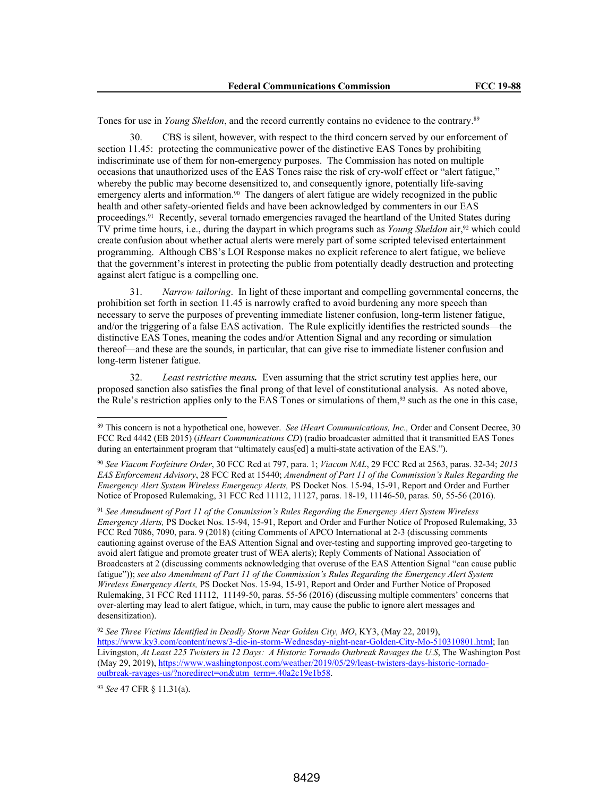Tones for use in *Young Sheldon*, and the record currently contains no evidence to the contrary.<sup>89</sup>

30. CBS is silent, however, with respect to the third concern served by our enforcement of section 11.45: protecting the communicative power of the distinctive EAS Tones by prohibiting indiscriminate use of them for non-emergency purposes. The Commission has noted on multiple occasions that unauthorized uses of the EAS Tones raise the risk of cry-wolf effect or "alert fatigue," whereby the public may become desensitized to, and consequently ignore, potentially life-saving emergency alerts and information.<sup>90</sup> The dangers of alert fatigue are widely recognized in the public health and other safety-oriented fields and have been acknowledged by commenters in our EAS proceedings.91 Recently, several tornado emergencies ravaged the heartland of the United States during TV prime time hours, i.e., during the daypart in which programs such as *Young Sheldon* air,92 which could create confusion about whether actual alerts were merely part of some scripted televised entertainment programming. Although CBS's LOI Response makes no explicit reference to alert fatigue, we believe that the government's interest in protecting the public from potentially deadly destruction and protecting against alert fatigue is a compelling one.

31. *Narrow tailoring*. In light of these important and compelling governmental concerns, the prohibition set forth in section 11.45 is narrowly crafted to avoid burdening any more speech than necessary to serve the purposes of preventing immediate listener confusion, long-term listener fatigue, and/or the triggering of a false EAS activation. The Rule explicitly identifies the restricted sounds—the distinctive EAS Tones, meaning the codes and/or Attention Signal and any recording or simulation thereof—and these are the sounds, in particular, that can give rise to immediate listener confusion and long-term listener fatigue.

32. *Least restrictive means.* Even assuming that the strict scrutiny test applies here, our proposed sanction also satisfies the final prong of that level of constitutional analysis. As noted above, the Rule's restriction applies only to the EAS Tones or simulations of them,93 such as the one in this case,

<sup>90</sup> *See Viacom Forfeiture Order*, 30 FCC Rcd at 797, para. 1; *Viacom NAL*, 29 FCC Rcd at 2563, paras. 32-34; *2013 EAS Enforcement Advisory*, 28 FCC Rcd at 15440; *Amendment of Part 11 of the Commission's Rules Regarding the Emergency Alert System Wireless Emergency Alerts,* PS Docket Nos. 15-94, 15-91, Report and Order and Further Notice of Proposed Rulemaking, 31 FCC Rcd 11112, 11127, paras. 18-19, 11146-50, paras. 50, 55-56 (2016).

<sup>91</sup> *See Amendment of Part 11 of the Commission's Rules Regarding the Emergency Alert System Wireless Emergency Alerts,* PS Docket Nos. 15-94, 15-91, Report and Order and Further Notice of Proposed Rulemaking, 33 FCC Rcd 7086, 7090, para. 9 (2018) (citing Comments of APCO International at 2-3 (discussing comments cautioning against overuse of the EAS Attention Signal and over-testing and supporting improved geo-targeting to avoid alert fatigue and promote greater trust of WEA alerts); Reply Comments of National Association of Broadcasters at 2 (discussing comments acknowledging that overuse of the EAS Attention Signal "can cause public fatigue")); *see also Amendment of Part 11 of the Commission's Rules Regarding the Emergency Alert System Wireless Emergency Alerts,* PS Docket Nos. 15-94, 15-91, Report and Order and Further Notice of Proposed Rulemaking, 31 FCC Rcd 11112, 11149-50, paras. 55-56 (2016) (discussing multiple commenters' concerns that over-alerting may lead to alert fatigue, which, in turn, may cause the public to ignore alert messages and desensitization).

<sup>92</sup> *See Three Victims Identified in Deadly Storm Near Golden City, MO*, KY3, (May 22, 2019), https://www.ky3.com/content/news/3-die-in-storm-Wednesday-night-near-Golden-City-Mo-510310801.html; Ian Livingston, *At Least 225 Twisters in 12 Days: A Historic Tornado Outbreak Ravages the U.S*, The Washington Post (May 29, 2019), https://www.washingtonpost.com/weather/2019/05/29/least-twisters-days-historic-tornadooutbreak-ravages-us/?noredirect=on&utm\_term=.40a2c19e1b58.

<sup>93</sup> *See* 47 CFR § 11.31(a).

<sup>89</sup> This concern is not a hypothetical one, however. *See iHeart Communications, Inc.,* Order and Consent Decree, 30 FCC Rcd 4442 (EB 2015) (*iHeart Communications CD*) (radio broadcaster admitted that it transmitted EAS Tones during an entertainment program that "ultimately caus[ed] a multi-state activation of the EAS.").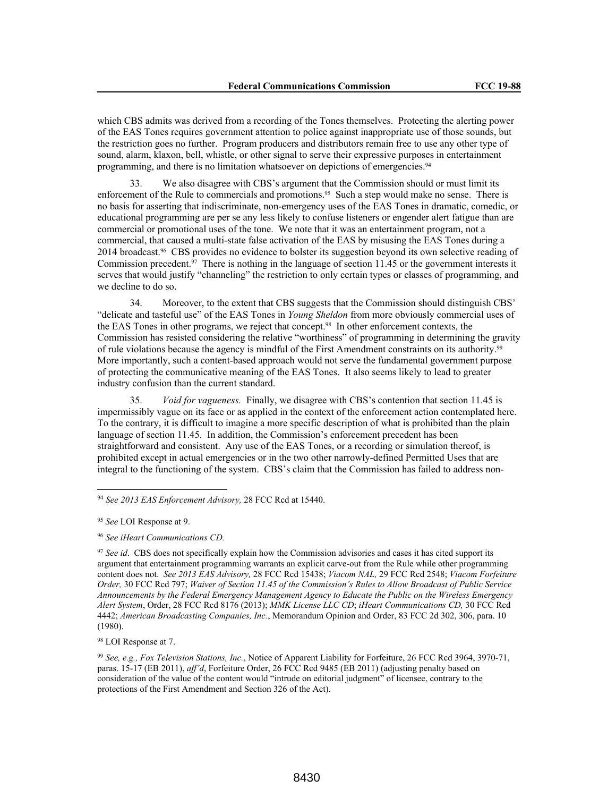which CBS admits was derived from a recording of the Tones themselves. Protecting the alerting power of the EAS Tones requires government attention to police against inappropriate use of those sounds, but the restriction goes no further. Program producers and distributors remain free to use any other type of sound, alarm, klaxon, bell, whistle, or other signal to serve their expressive purposes in entertainment programming, and there is no limitation whatsoever on depictions of emergencies.<sup>94</sup>

33. We also disagree with CBS's argument that the Commission should or must limit its enforcement of the Rule to commercials and promotions.<sup>95</sup> Such a step would make no sense. There is no basis for asserting that indiscriminate, non-emergency uses of the EAS Tones in dramatic, comedic, or educational programming are per se any less likely to confuse listeners or engender alert fatigue than are commercial or promotional uses of the tone. We note that it was an entertainment program, not a commercial, that caused a multi-state false activation of the EAS by misusing the EAS Tones during a 2014 broadcast.96 CBS provides no evidence to bolster its suggestion beyond its own selective reading of Commission precedent.97 There is nothing in the language of section 11.45 or the government interests it serves that would justify "channeling" the restriction to only certain types or classes of programming, and we decline to do so.

34. Moreover, to the extent that CBS suggests that the Commission should distinguish CBS' "delicate and tasteful use" of the EAS Tones in *Young Sheldon* from more obviously commercial uses of the EAS Tones in other programs, we reject that concept.98 In other enforcement contexts, the Commission has resisted considering the relative "worthiness" of programming in determining the gravity of rule violations because the agency is mindful of the First Amendment constraints on its authority.<sup>99</sup> More importantly, such a content-based approach would not serve the fundamental government purpose of protecting the communicative meaning of the EAS Tones. It also seems likely to lead to greater industry confusion than the current standard.

35. *Void for vagueness.* Finally, we disagree with CBS's contention that section 11.45 is impermissibly vague on its face or as applied in the context of the enforcement action contemplated here. To the contrary, it is difficult to imagine a more specific description of what is prohibited than the plain language of section 11.45. In addition, the Commission's enforcement precedent has been straightforward and consistent. Any use of the EAS Tones, or a recording or simulation thereof, is prohibited except in actual emergencies or in the two other narrowly-defined Permitted Uses that are integral to the functioning of the system. CBS's claim that the Commission has failed to address non-

<sup>98</sup> LOI Response at 7.

<sup>99</sup> *See, e.g., Fox Television Stations, Inc.*, Notice of Apparent Liability for Forfeiture, 26 FCC Rcd 3964, 3970-71, paras. 15-17 (EB 2011), *aff'd*, Forfeiture Order, 26 FCC Rcd 9485 (EB 2011) (adjusting penalty based on consideration of the value of the content would "intrude on editorial judgment" of licensee, contrary to the protections of the First Amendment and Section 326 of the Act).

<sup>94</sup> *See 2013 EAS Enforcement Advisory,* 28 FCC Rcd at 15440.

<sup>95</sup> *See* LOI Response at 9.

<sup>96</sup> *See iHeart Communications CD.*

<sup>&</sup>lt;sup>97</sup> See id. CBS does not specifically explain how the Commission advisories and cases it has cited support its argument that entertainment programming warrants an explicit carve-out from the Rule while other programming content does not. *See 2013 EAS Advisory,* 28 FCC Rcd 15438; *Viacom NAL,* 29 FCC Rcd 2548; *Viacom Forfeiture Order,* 30 FCC Rcd 797; *Waiver of Section 11.45 of the Commission's Rules to Allow Broadcast of Public Service Announcements by the Federal Emergency Management Agency to Educate the Public on the Wireless Emergency Alert System*, Order, 28 FCC Rcd 8176 (2013); *MMK License LLC CD*; *iHeart Communications CD,* 30 FCC Rcd 4442; *American Broadcasting Companies, Inc.*, Memorandum Opinion and Order, 83 FCC 2d 302, 306, para. 10 (1980).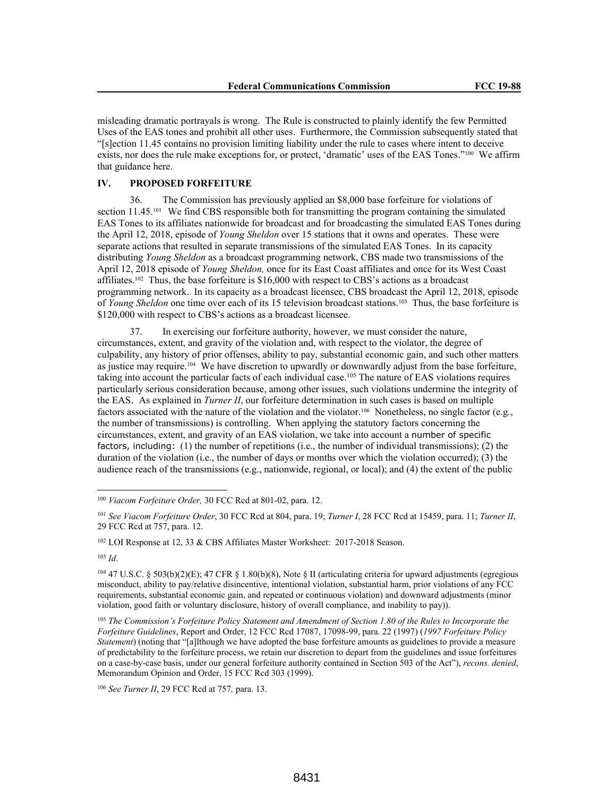misleading dramatic portrayals is wrong. The Rule is constructed to plainly identify the few Permitted Uses of the EAS tones and prohibit all other uses. Furthermore, the Commission subsequently stated that "[s]ection 11.45 contains no provision limiting liability under the rule to cases where intent to deceive exists, nor does the rule make exceptions for, or protect, 'dramatic' uses of the EAS Tones."100 We affirm that guidance here.

# **IV. PROPOSED FORFEITURE**

36. The Commission has previously applied an \$8,000 base forfeiture for violations of section  $11.45^{101}$  We find CBS responsible both for transmitting the program containing the simulated EAS Tones to its affiliates nationwide for broadcast and for broadcasting the simulated EAS Tones during the April 12, 2018, episode of *Young Sheldon* over 15 stations that it owns and operates. These were separate actions that resulted in separate transmissions of the simulated EAS Tones. In its capacity distributing *Young Sheldon* as a broadcast programming network, CBS made two transmissions of the April 12, 2018 episode of *Young Sheldon,* once for its East Coast affiliates and once for its West Coast affiliates.<sup>102</sup> Thus, the base forfeiture is \$16,000 with respect to CBS's actions as a broadcast programming network. In its capacity as a broadcast licensee, CBS broadcast the April 12, 2018, episode of *Young Sheldon* one time over each of its 15 television broadcast stations.103 Thus, the base forfeiture is \$120,000 with respect to CBS's actions as a broadcast licensee.

37. In exercising our forfeiture authority, however, we must consider the nature, circumstances, extent, and gravity of the violation and, with respect to the violator, the degree of culpability, any history of prior offenses, ability to pay, substantial economic gain, and such other matters as justice may require.<sup>104</sup> We have discretion to upwardly or downwardly adjust from the base forfeiture, taking into account the particular facts of each individual case.<sup>105</sup> The nature of EAS violations requires particularly serious consideration because, among other issues, such violations undermine the integrity of the EAS. As explained in *Turner II*, our forfeiture determination in such cases is based on multiple factors associated with the nature of the violation and the violator.106 Nonetheless, no single factor (e.g*.*, the number of transmissions) is controlling. When applying the statutory factors concerning the circumstances, extent, and gravity of an EAS violation, we take into account a number of specific factors, including: (1) the number of repetitions (i.e., the number of individual transmissions); (2) the duration of the violation (i.e., the number of days or months over which the violation occurred); (3) the audience reach of the transmissions (e.g., nationwide, regional, or local); and (4) the extent of the public

<sup>100</sup> *Viacom Forfeiture Order,* 30 FCC Rcd at 801-02, para. 12.

<sup>101</sup> *See Viacom Forfeiture Order*, 30 FCC Rcd at 804, para. 19; *Turner I*, 28 FCC Rcd at 15459, para. 11; *Turner II*, 29 FCC Rcd at 757, para. 12.

<sup>102</sup> LOI Response at 12, 33 & CBS Affiliates Master Worksheet: 2017-2018 Season.

<sup>103</sup> *Id*.

 $104$  47 U.S.C. § 503(b)(2)(E); 47 CFR § 1.80(b)(8), Note § II (articulating criteria for upward adjustments (egregious misconduct, ability to pay/relative disincentive, intentional violation, substantial harm, prior violations of any FCC requirements, substantial economic gain, and repeated or continuous violation) and downward adjustments (minor violation, good faith or voluntary disclosure, history of overall compliance, and inability to pay)).

<sup>105</sup> *The Commission's Forfeiture Policy Statement and Amendment of Section 1.80 of the Rules to Incorporate the Forfeiture Guidelines*, Report and Order, 12 FCC Rcd 17087, 17098-99, para. 22 (1997) (*1997 Forfeiture Policy Statement*) (noting that "[a]lthough we have adopted the base forfeiture amounts as guidelines to provide a measure of predictability to the forfeiture process, we retain our discretion to depart from the guidelines and issue forfeitures on a case-by-case basis, under our general forfeiture authority contained in Section 503 of the Act"), *recons. denied*, Memorandum Opinion and Order, 15 FCC Rcd 303 (1999).

<sup>106</sup> *See Turner II*, 29 FCC Rcd at 757*,* para. 13.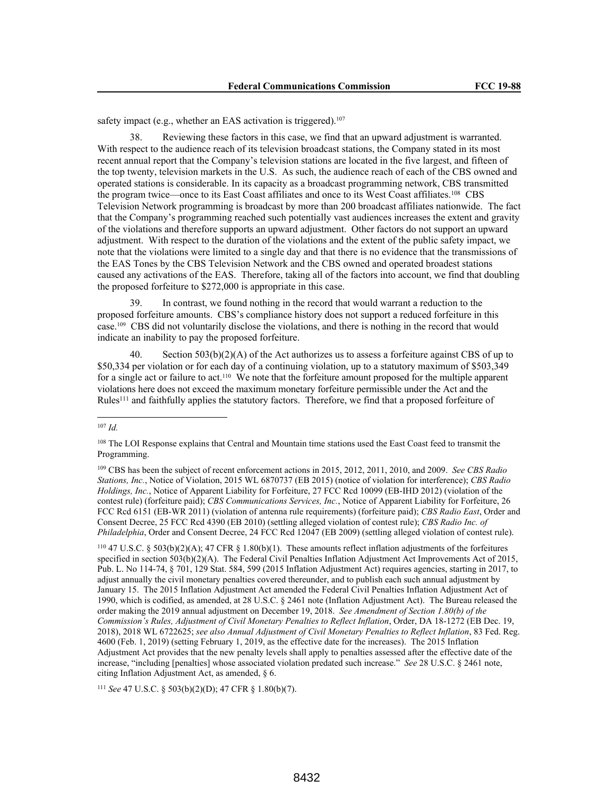safety impact (e.g., whether an EAS activation is triggered).<sup>107</sup>

38. Reviewing these factors in this case, we find that an upward adjustment is warranted. With respect to the audience reach of its television broadcast stations, the Company stated in its most recent annual report that the Company's television stations are located in the five largest, and fifteen of the top twenty, television markets in the U.S. As such, the audience reach of each of the CBS owned and operated stations is considerable. In its capacity as a broadcast programming network, CBS transmitted the program twice—once to its East Coast affiliates and once to its West Coast affiliates.<sup>108</sup> CBS Television Network programming is broadcast by more than 200 broadcast affiliates nationwide. The fact that the Company's programming reached such potentially vast audiences increases the extent and gravity of the violations and therefore supports an upward adjustment. Other factors do not support an upward adjustment. With respect to the duration of the violations and the extent of the public safety impact, we note that the violations were limited to a single day and that there is no evidence that the transmissions of the EAS Tones by the CBS Television Network and the CBS owned and operated broadest stations caused any activations of the EAS. Therefore, taking all of the factors into account, we find that doubling the proposed forfeiture to \$272,000 is appropriate in this case.

39. In contrast, we found nothing in the record that would warrant a reduction to the proposed forfeiture amounts. CBS's compliance history does not support a reduced forfeiture in this case.109 CBS did not voluntarily disclose the violations, and there is nothing in the record that would indicate an inability to pay the proposed forfeiture.

Section  $503(b)(2)(A)$  of the Act authorizes us to assess a forfeiture against CBS of up to \$50,334 per violation or for each day of a continuing violation, up to a statutory maximum of \$503,349 for a single act or failure to act.110 We note that the forfeiture amount proposed for the multiple apparent violations here does not exceed the maximum monetary forfeiture permissible under the Act and the Rules<sup>111</sup> and faithfully applies the statutory factors. Therefore, we find that a proposed forfeiture of

<sup>110</sup> 47 U.S.C. § 503(b)(2)(A); 47 CFR § 1.80(b)(1). These amounts reflect inflation adjustments of the forfeitures specified in section 503(b)(2)(A). The Federal Civil Penalties Inflation Adjustment Act Improvements Act of 2015, Pub. L. No 114-74, § 701, 129 Stat. 584, 599 (2015 Inflation Adjustment Act) requires agencies, starting in 2017, to adjust annually the civil monetary penalties covered thereunder, and to publish each such annual adjustment by January 15. The 2015 Inflation Adjustment Act amended the Federal Civil Penalties Inflation Adjustment Act of 1990, which is codified, as amended, at 28 U.S.C. § 2461 note (Inflation Adjustment Act). The Bureau released the order making the 2019 annual adjustment on December 19, 2018. *See Amendment of Section 1.80(b) of the Commission's Rules, Adjustment of Civil Monetary Penalties to Reflect Inflation*, Order, DA 18-1272 (EB Dec. 19, 2018), 2018 WL 6722625; *see also Annual Adjustment of Civil Monetary Penalties to Reflect Inflation*, 83 Fed. Reg. 4600 (Feb. 1, 2019) (setting February 1, 2019, as the effective date for the increases). The 2015 Inflation Adjustment Act provides that the new penalty levels shall apply to penalties assessed after the effective date of the increase, "including [penalties] whose associated violation predated such increase." *See* 28 U.S.C. § 2461 note, citing Inflation Adjustment Act, as amended, § 6.

<sup>111</sup> *See* 47 U.S.C. § 503(b)(2)(D); 47 CFR § 1.80(b)(7).

<sup>107</sup> *Id.*

<sup>108</sup> The LOI Response explains that Central and Mountain time stations used the East Coast feed to transmit the Programming.

<sup>109</sup> CBS has been the subject of recent enforcement actions in 2015, 2012, 2011, 2010, and 2009. *See CBS Radio Stations, Inc.*, Notice of Violation, 2015 WL 6870737 (EB 2015) (notice of violation for interference); *CBS Radio Holdings, Inc.*, Notice of Apparent Liability for Forfeiture, 27 FCC Rcd 10099 (EB-IHD 2012) (violation of the contest rule) (forfeiture paid); *CBS Communications Services, Inc.*, Notice of Apparent Liability for Forfeiture, 26 FCC Rcd 6151 (EB-WR 2011) (violation of antenna rule requirements) (forfeiture paid); *CBS Radio East*, Order and Consent Decree, 25 FCC Rcd 4390 (EB 2010) (settling alleged violation of contest rule); *CBS Radio Inc. of Philadelphia*, Order and Consent Decree, 24 FCC Rcd 12047 (EB 2009) (settling alleged violation of contest rule).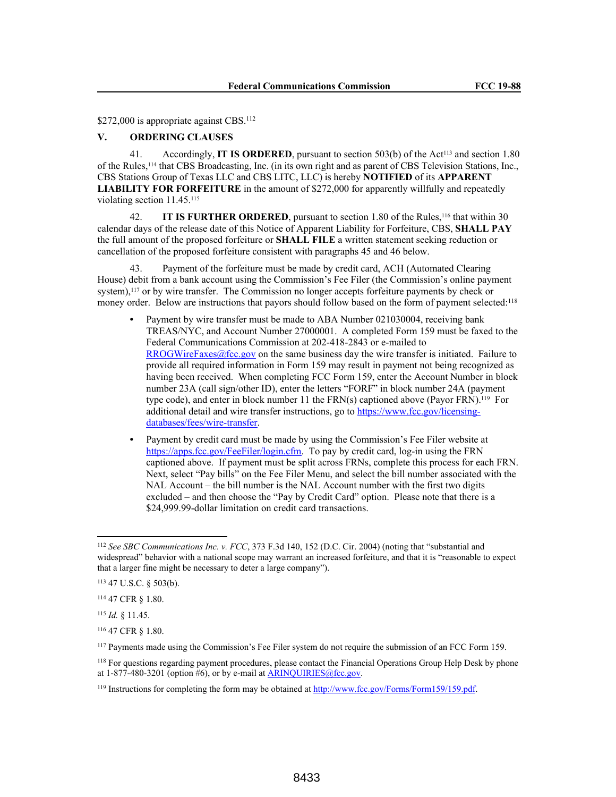\$272,000 is appropriate against CBS.<sup>112</sup>

# **V. ORDERING CLAUSES**

41. Accordingly, **IT IS ORDERED**, pursuant to section 503(b) of the Act<sup>113</sup> and section 1.80 of the Rules,114 that CBS Broadcasting, Inc. (in its own right and as parent of CBS Television Stations, Inc., CBS Stations Group of Texas LLC and CBS LITC, LLC) is hereby **NOTIFIED** of its **APPARENT LIABILITY FOR FORFEITURE** in the amount of \$272,000 for apparently willfully and repeatedly violating section 11.45.<sup>115</sup>

42. **IT IS FURTHER ORDERED**, pursuant to section 1.80 of the Rules,<sup>116</sup> that within 30 calendar days of the release date of this Notice of Apparent Liability for Forfeiture, CBS, **SHALL PAY** the full amount of the proposed forfeiture or **SHALL FILE** a written statement seeking reduction or cancellation of the proposed forfeiture consistent with paragraphs 45 and 46 below.

43. Payment of the forfeiture must be made by credit card, ACH (Automated Clearing House) debit from a bank account using the Commission's Fee Filer (the Commission's online payment system),<sup>117</sup> or by wire transfer. The Commission no longer accepts forfeiture payments by check or money order. Below are instructions that payors should follow based on the form of payment selected:<sup>118</sup>

- Payment by wire transfer must be made to ABA Number 021030004, receiving bank TREAS/NYC, and Account Number 27000001. A completed Form 159 must be faxed to the Federal Communications Commission at 202-418-2843 or e-mailed to RROGWireFaxes@fcc.gov on the same business day the wire transfer is initiated. Failure to provide all required information in Form 159 may result in payment not being recognized as having been received. When completing FCC Form 159, enter the Account Number in block number 23A (call sign/other ID), enter the letters "FORF" in block number 24A (payment type code), and enter in block number 11 the FRN(s) captioned above (Payor FRN).119 For additional detail and wire transfer instructions, go to https://www.fcc.gov/licensingdatabases/fees/wire-transfer.
- **•** Payment by credit card must be made by using the Commission's Fee Filer website at https://apps.fcc.gov/FeeFiler/login.cfm. To pay by credit card, log-in using the FRN captioned above. If payment must be split across FRNs, complete this process for each FRN. Next, select "Pay bills" on the Fee Filer Menu, and select the bill number associated with the NAL Account – the bill number is the NAL Account number with the first two digits excluded – and then choose the "Pay by Credit Card" option. Please note that there is a \$24,999.99-dollar limitation on credit card transactions.

<sup>112</sup> *See SBC Communications Inc. v. FCC*, 373 F.3d 140, 152 (D.C. Cir. 2004) (noting that "substantial and widespread" behavior with a national scope may warrant an increased forfeiture, and that it is "reasonable to expect that a larger fine might be necessary to deter a large company").

<sup>113</sup> 47 U.S.C. § 503(b).

<sup>114</sup> 47 CFR § 1.80.

<sup>115</sup> *Id.* § 11.45.

<sup>116</sup> 47 CFR § 1.80.

<sup>117</sup> Payments made using the Commission's Fee Filer system do not require the submission of an FCC Form 159.

<sup>&</sup>lt;sup>118</sup> For questions regarding payment procedures, please contact the Financial Operations Group Help Desk by phone at 1-877-480-3201 (option #6), or by e-mail at  $\triangle$ RINQUIRIES@fcc.gov.

<sup>119</sup> Instructions for completing the form may be obtained at http://www.fcc.gov/Forms/Form159/159.pdf.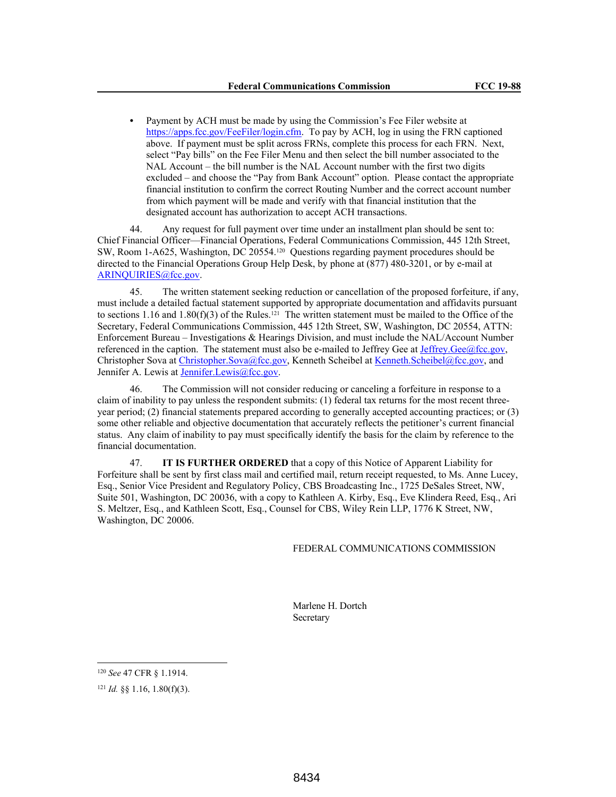**•** Payment by ACH must be made by using the Commission's Fee Filer website at https://apps.fcc.gov/FeeFiler/login.cfm. To pay by ACH, log in using the FRN captioned above. If payment must be split across FRNs, complete this process for each FRN. Next, select "Pay bills" on the Fee Filer Menu and then select the bill number associated to the NAL Account – the bill number is the NAL Account number with the first two digits excluded – and choose the "Pay from Bank Account" option. Please contact the appropriate financial institution to confirm the correct Routing Number and the correct account number from which payment will be made and verify with that financial institution that the designated account has authorization to accept ACH transactions.

44. Any request for full payment over time under an installment plan should be sent to: Chief Financial Officer—Financial Operations, Federal Communications Commission, 445 12th Street, SW, Room 1-A625, Washington, DC 20554.120 Questions regarding payment procedures should be directed to the Financial Operations Group Help Desk, by phone at (877) 480-3201, or by e-mail at ARINQUIRIES@fcc.gov.

45. The written statement seeking reduction or cancellation of the proposed forfeiture, if any, must include a detailed factual statement supported by appropriate documentation and affidavits pursuant to sections 1.16 and 1.80(f)(3) of the Rules.<sup>121</sup> The written statement must be mailed to the Office of the Secretary, Federal Communications Commission, 445 12th Street, SW, Washington, DC 20554, ATTN: Enforcement Bureau – Investigations & Hearings Division, and must include the NAL/Account Number referenced in the caption. The statement must also be e-mailed to Jeffrey Gee at  $Jeffrey.Ge@fcc.gov$ ,</u> Christopher Sova at Christopher.Sova@fcc.gov, Kenneth Scheibel at Kenneth.Scheibel@fcc.gov, and Jennifer A. Lewis at Jennifer.Lewis@fcc.gov.

46. The Commission will not consider reducing or canceling a forfeiture in response to a claim of inability to pay unless the respondent submits: (1) federal tax returns for the most recent threeyear period; (2) financial statements prepared according to generally accepted accounting practices; or (3) some other reliable and objective documentation that accurately reflects the petitioner's current financial status. Any claim of inability to pay must specifically identify the basis for the claim by reference to the financial documentation.

47. **IT IS FURTHER ORDERED** that a copy of this Notice of Apparent Liability for Forfeiture shall be sent by first class mail and certified mail, return receipt requested, to Ms. Anne Lucey, Esq., Senior Vice President and Regulatory Policy, CBS Broadcasting Inc., 1725 DeSales Street, NW, Suite 501, Washington, DC 20036, with a copy to Kathleen A. Kirby, Esq., Eve Klindera Reed, Esq., Ari S. Meltzer, Esq., and Kathleen Scott, Esq., Counsel for CBS, Wiley Rein LLP, 1776 K Street, NW, Washington, DC 20006.

### FEDERAL COMMUNICATIONS COMMISSION

Marlene H. Dortch Secretary

<sup>120</sup> *See* 47 CFR § 1.1914.

<sup>121</sup> *Id.* §§ 1.16, 1.80(f)(3).